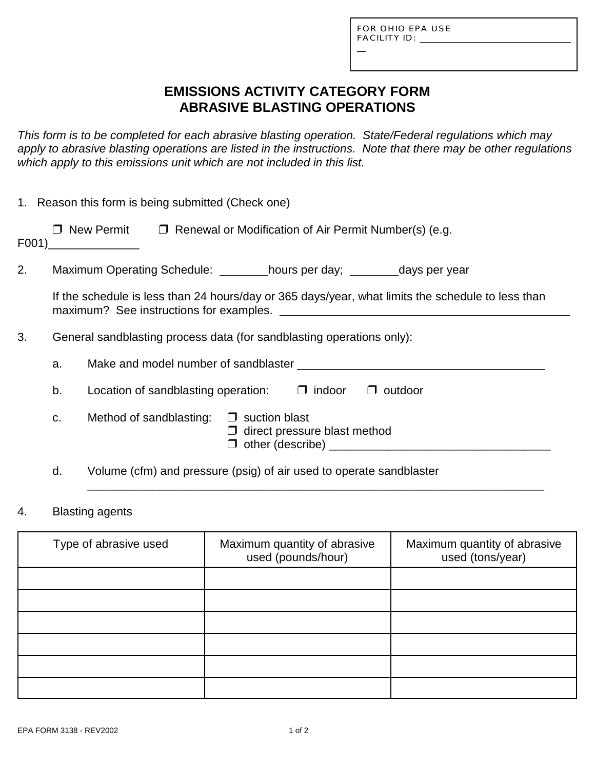L

# **EMISSIONS ACTIVITY CATEGORY FORM ABRASIVE BLASTING OPERATIONS**

*This form is to be completed for each abrasive blasting operation. State/Federal regulations which may apply to abrasive blasting operations are listed in the instructions. Note that there may be other regulations which apply to this emissions unit which are not included in this list.*

|    |                                                                       | 1. Reason this form is being submitted (Check one)                                                         |  |  |
|----|-----------------------------------------------------------------------|------------------------------------------------------------------------------------------------------------|--|--|
|    |                                                                       | $\Box$ New Permit $\Box$ Renewal or Modification of Air Permit Number(s) (e.g.<br>$F001)$ ________________ |  |  |
| 2. |                                                                       | Maximum Operating Schedule: _________hours per day; _________days per year                                 |  |  |
|    |                                                                       | If the schedule is less than 24 hours/day or 365 days/year, what limits the schedule to less than          |  |  |
| 3. | General sandblasting process data (for sandblasting operations only): |                                                                                                            |  |  |
|    | a.                                                                    |                                                                                                            |  |  |
|    | b.                                                                    | Location of sandblasting operation: $\Box$ indoor<br>$\Box$ outdoor                                        |  |  |
|    | C.                                                                    | Method of sandblasting: $\Box$ suction blast<br>$\Box$ direct pressure blast method                        |  |  |
|    | d.                                                                    | Volume (cfm) and pressure (psig) of air used to operate sandblaster                                        |  |  |

#### 4. Blasting agents

| Type of abrasive used | Maximum quantity of abrasive<br>used (pounds/hour) | Maximum quantity of abrasive<br>used (tons/year) |
|-----------------------|----------------------------------------------------|--------------------------------------------------|
|                       |                                                    |                                                  |
|                       |                                                    |                                                  |
|                       |                                                    |                                                  |
|                       |                                                    |                                                  |
|                       |                                                    |                                                  |
|                       |                                                    |                                                  |

\_\_\_\_\_\_\_\_\_\_\_\_\_\_\_\_\_\_\_\_\_\_\_\_\_\_\_\_\_\_\_\_\_\_\_\_\_\_\_\_\_\_\_\_\_\_\_\_\_\_\_\_\_\_\_\_\_\_\_\_\_\_\_\_\_\_\_\_\_\_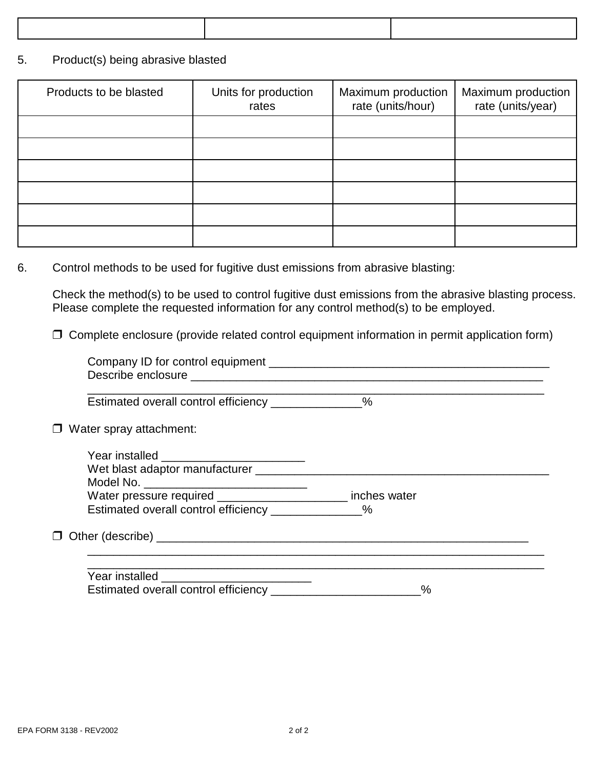#### 5. Product(s) being abrasive blasted

| Products to be blasted | Units for production<br>rates | Maximum production<br>rate (units/hour) | Maximum production<br>rate (units/year) |
|------------------------|-------------------------------|-----------------------------------------|-----------------------------------------|
|                        |                               |                                         |                                         |
|                        |                               |                                         |                                         |
|                        |                               |                                         |                                         |
|                        |                               |                                         |                                         |
|                        |                               |                                         |                                         |
|                        |                               |                                         |                                         |

### 6. Control methods to be used for fugitive dust emissions from abrasive blasting:

Check the method(s) to be used to control fugitive dust emissions from the abrasive blasting process. Please complete the requested information for any control method(s) to be employed.

 $\Box$  Complete enclosure (provide related control equipment information in permit application form)

| Estimated overall control efficiency ______________%        |   |  |
|-------------------------------------------------------------|---|--|
| $\Box$ Water spray attachment:                              |   |  |
|                                                             |   |  |
|                                                             |   |  |
|                                                             |   |  |
| Water pressure required ______________________ inches water |   |  |
| Estimated overall control efficiency ______________%        |   |  |
|                                                             |   |  |
|                                                             |   |  |
|                                                             | % |  |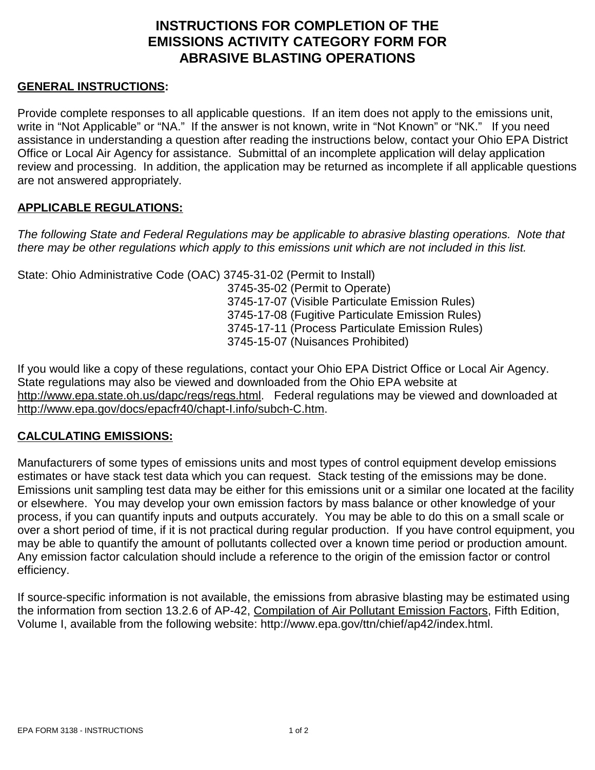# **INSTRUCTIONS FOR COMPLETION OF THE EMISSIONS ACTIVITY CATEGORY FORM FOR ABRASIVE BLASTING OPERATIONS**

### **GENERAL INSTRUCTIONS:**

Provide complete responses to all applicable questions. If an item does not apply to the emissions unit, write in "Not Applicable" or "NA." If the answer is not known, write in "Not Known" or "NK." If you need assistance in understanding a question after reading the instructions below, contact your Ohio EPA District Office or Local Air Agency for assistance. Submittal of an incomplete application will delay application review and processing. In addition, the application may be returned as incomplete if all applicable questions are not answered appropriately.

### **APPLICABLE REGULATIONS:**

*The following State and Federal Regulations may be applicable to abrasive blasting operations. Note that there may be other regulations which apply to this emissions unit which are not included in this list.*

State: Ohio Administrative Code (OAC) 3745-31-02 (Permit to Install)

3745-35-02 (Permit to Operate) 3745-17-07 (Visible Particulate Emission Rules) 3745-17-08 (Fugitive Particulate Emission Rules) 3745-17-11 (Process Particulate Emission Rules) 3745-15-07 (Nuisances Prohibited)

If you would like a copy of these regulations, contact your Ohio EPA District Office or Local Air Agency. State regulations may also be viewed and downloaded from the Ohio EPA website at http://www.epa.state.oh.us/dapc/regs/regs.html. Federal regulations may be viewed and downloaded at http://www.epa.gov/docs/epacfr40/chapt-I.info/subch-C.htm.

### **CALCULATING EMISSIONS:**

Manufacturers of some types of emissions units and most types of control equipment develop emissions estimates or have stack test data which you can request. Stack testing of the emissions may be done. Emissions unit sampling test data may be either for this emissions unit or a similar one located at the facility or elsewhere. You may develop your own emission factors by mass balance or other knowledge of your process, if you can quantify inputs and outputs accurately. You may be able to do this on a small scale or over a short period of time, if it is not practical during regular production. If you have control equipment, you may be able to quantify the amount of pollutants collected over a known time period or production amount. Any emission factor calculation should include a reference to the origin of the emission factor or control efficiency.

If source-specific information is not available, the emissions from abrasive blasting may be estimated using the information from section 13.2.6 of AP-42, Compilation of Air Pollutant Emission Factors, Fifth Edition, Volume I, available from the following website: http://www.epa.gov/ttn/chief/ap42/index.html.